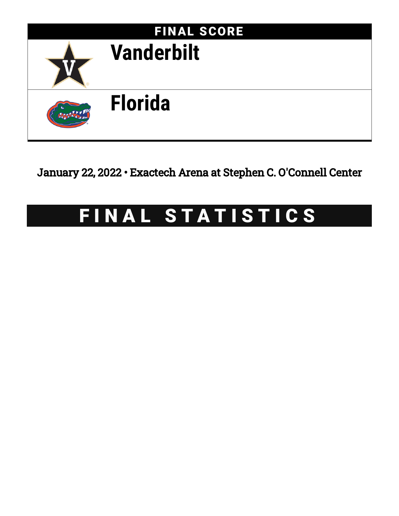

January 22, 2022 • Exactech Arena at Stephen C. O'Connell Center

# FINAL STATISTICS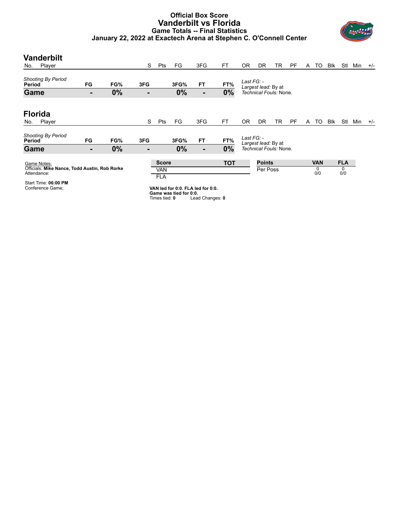### **Official Box Score Vanderbilt vs Florida Game Totals -- Final Statistics January 22, 2022 at Exactech Arena at Stephen C. O'Connell Center**



| <b>Vanderbilt</b><br>Player<br>No.                                                                  |    |     | S   | Pts                               | FG                     | 3FG                               | FT         | 0 <sub>R</sub> | <b>DR</b>                 | TR | <b>PF</b> | A | TO                     | <b>Blk</b> | Stl                    | Min | $+/-$ |
|-----------------------------------------------------------------------------------------------------|----|-----|-----|-----------------------------------|------------------------|-----------------------------------|------------|----------------|---------------------------|----|-----------|---|------------------------|------------|------------------------|-----|-------|
| <b>Shooting By Period</b><br>Period                                                                 | FG | FG% | 3FG |                                   | 3FG%                   | <b>FT</b>                         | FT%        | Last FG: -     | Largest lead: By at       |    |           |   |                        |            |                        |     |       |
| Game                                                                                                | ٠  | 0%  | ٠   |                                   | 0%                     | ٠                                 | 0%         |                | Technical Fouls: None.    |    |           |   |                        |            |                        |     |       |
| <b>Florida</b><br>Player<br>No.                                                                     |    |     | S   | Pts                               | FG                     | 3FG                               | <b>FT</b>  | 0 <sub>R</sub> | DR                        | TR | <b>PF</b> | A | TO                     | <b>Blk</b> | Stl                    | Min | $+/-$ |
| <b>Shooting By Period</b><br>Period                                                                 | FG | FG% | 3FG |                                   | 3FG%                   | <b>FT</b>                         | FT%        | Last FG: -     | Largest lead: By at       |    |           |   |                        |            |                        |     |       |
| Game                                                                                                | ۰  | 0%  | ٠   |                                   | 0%                     | ٠                                 | 0%         |                | Technical Fouls: None.    |    |           |   |                        |            |                        |     |       |
| Game Notes:<br>Officials: Mike Nance, Todd Austin, Rob Rorke<br>Attendance:<br>Start Time: 06:00 PM |    |     |     | <b>Score</b><br>VAN<br><b>FLA</b> |                        |                                   | <b>TOT</b> |                | <b>Points</b><br>Per Poss |    |           |   | <b>VAN</b><br>0<br>0/0 |            | <b>FLA</b><br>0<br>0/0 |     |       |
| Conference Game;                                                                                    |    |     |     |                                   | Game was tied for 0:0. | VAN led for 0:0. FLA led for 0:0. |            |                |                           |    |           |   |                        |            |                        |     |       |

**Game tied**: 0 Lead Changes: 0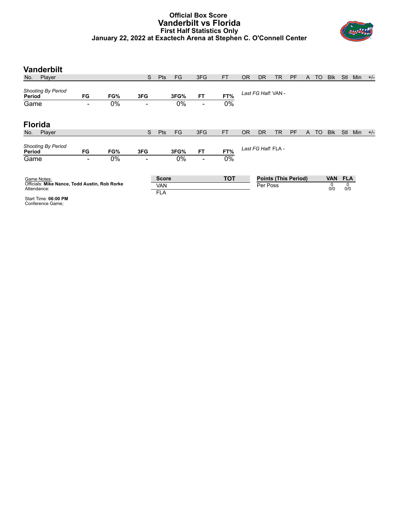#### **Official Box Score Vanderbilt vs Florida First Half Statistics Only January 22, 2022 at Exactech Arena at Stephen C. O'Connell Center**



| <b>Vanderbilt</b>                                            |                          |     |                          |                          |      |                          |            |           |                     |           |                             |   |    |            |            |     |       |
|--------------------------------------------------------------|--------------------------|-----|--------------------------|--------------------------|------|--------------------------|------------|-----------|---------------------|-----------|-----------------------------|---|----|------------|------------|-----|-------|
| Player<br>No.                                                |                          |     | S                        | <b>Pts</b>               | FG   | 3FG                      | <b>FT</b>  | <b>OR</b> | <b>DR</b>           | <b>TR</b> | <b>PF</b>                   | A | TO | <b>Blk</b> | Stl        | Min | $+/-$ |
| <b>Shooting By Period</b><br>Period                          | FG                       | FG% | 3FG                      |                          | 3FG% | <b>FT</b>                | FT%        |           | Last FG Half: VAN - |           |                             |   |    |            |            |     |       |
| Game                                                         |                          | 0%  |                          |                          | 0%   | $\overline{\phantom{0}}$ | 0%         |           |                     |           |                             |   |    |            |            |     |       |
| <b>Florida</b>                                               |                          |     |                          |                          |      |                          |            |           |                     |           |                             |   |    |            |            |     |       |
| Player<br>No.                                                |                          |     | S                        | <b>Pts</b>               | FG   | 3FG                      | <b>FT</b>  | <b>OR</b> | <b>DR</b>           | TR        | <b>PF</b>                   | A | TO | <b>Blk</b> | Stl        | Min | $+/-$ |
| <b>Shooting By Period</b><br>Period                          | FG                       | FG% | 3FG                      |                          | 3FG% | <b>FT</b>                | FT%        |           | Last FG Half: FLA - |           |                             |   |    |            |            |     |       |
| Game                                                         | $\overline{\phantom{a}}$ | 0%  | $\overline{\phantom{0}}$ |                          | 0%   | $\overline{\phantom{a}}$ | 0%         |           |                     |           |                             |   |    |            |            |     |       |
| Game Notes:                                                  |                          |     |                          | <b>Score</b>             |      |                          | <b>TOT</b> |           |                     |           | <b>Points (This Period)</b> |   |    | <b>VAN</b> | <b>FLA</b> |     |       |
| Officials: Mike Nance, Todd Austin, Rob Rorke<br>Attendance: |                          |     |                          | <b>VAN</b><br><b>FLA</b> |      |                          |            |           | Per Poss            |           |                             |   |    | 0<br>0/0   | 0<br>0/0   |     |       |
| Start Time: 06:00 PM                                         |                          |     |                          |                          |      |                          |            |           |                     |           |                             |   |    |            |            |     |       |

Start Time: **06:00 PM** Conference Game;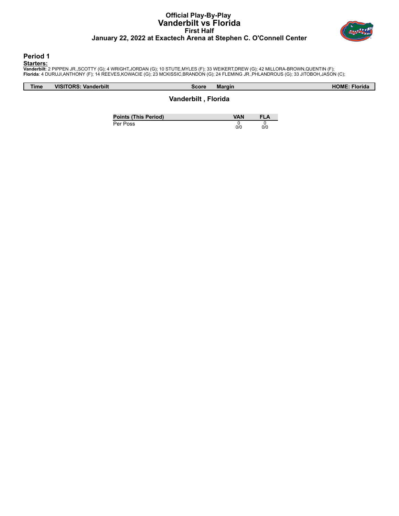# **Official Play-By-Play Vanderbilt vs Florida First Half January 22, 2022 at Exactech Arena at Stephen C. O'Connell Center**



**Period 1**

<mark>Starters:</mark><br>Vanderbilt: 2 PIPPEN JR.,SCOTTY (G); 4 WRIGHT,JORDAN (G); 10 STUTE,MYLES (F); 33 WEIKERT,DREW (G); 42 MILLORA-BROWN,QUENTIN (F);<br>**Florida**: 4 DURUJI,ANTHONY (F); 14 REEVES,KOWACIE (G); 23 MCKISSIC,BRANDON (G);

| <b>Time</b> | Vanderbilt<br><b>VISITORS:</b> | <b>Margin</b><br>Score              | <b>HOME: Florida</b> |
|-------------|--------------------------------|-------------------------------------|----------------------|
|             |                                | <b>Vandorhilt</b><br><b>Elorida</b> |                      |

**Vanderbilt , Florida**

**Points (This Period) VAN FLA** Per Poss  $\begin{matrix} 0 \\ 0/0 \end{matrix}$ 0 0/0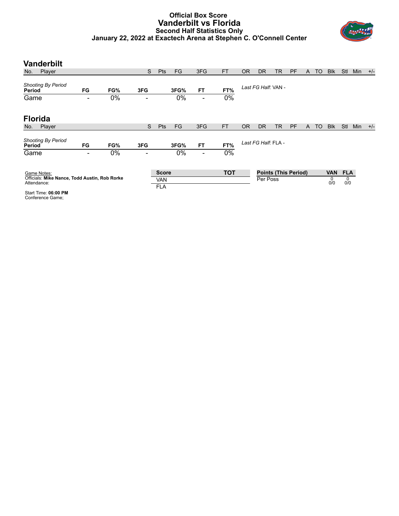# **Official Box Score Vanderbilt vs Florida Second Half Statistics Only January 22, 2022 at Exactech Arena at Stephen C. O'Connell Center**



| <b>Vanderbilt</b>                                            |      |     |                          |                          |      |                          |            |           |                     |    |                             |   |           |            |            |     |       |
|--------------------------------------------------------------|------|-----|--------------------------|--------------------------|------|--------------------------|------------|-----------|---------------------|----|-----------------------------|---|-----------|------------|------------|-----|-------|
| Player<br>No.                                                |      |     | S                        | <b>Pts</b>               | FG   | 3FG                      | <b>FT</b>  | <b>OR</b> | <b>DR</b>           | TR | <b>PF</b>                   | A | TO        | <b>Blk</b> | <b>Stl</b> | Min | $+/-$ |
| <b>Shooting By Period</b><br>Period                          | FG   | FG% | 3FG                      |                          | 3FG% | <b>FT</b>                | FT%        |           | Last FG Half: VAN - |    |                             |   |           |            |            |     |       |
| Game                                                         | -    | 0%  | ۰                        |                          | 0%   | $\overline{\phantom{a}}$ | 0%         |           |                     |    |                             |   |           |            |            |     |       |
| <b>Florida</b>                                               |      |     |                          |                          |      |                          |            |           |                     |    |                             |   |           |            |            |     |       |
| Player<br>No.                                                |      |     | S                        | <b>Pts</b>               | FG   | 3FG                      | <b>FT</b>  | <b>OR</b> | <b>DR</b>           | TR | PF                          | A | <b>TO</b> | <b>Blk</b> | Stl        | Min | $+/-$ |
| <b>Shooting By Period</b><br>Period                          | FG   | FG% | 3FG                      |                          | 3FG% | <b>FT</b>                | FT%        |           | Last FG Half: FLA - |    |                             |   |           |            |            |     |       |
| Game                                                         | $\,$ | 0%  | $\overline{\phantom{0}}$ |                          | 0%   | $\overline{\phantom{a}}$ | 0%         |           |                     |    |                             |   |           |            |            |     |       |
| Game Notes:                                                  |      |     |                          | <b>Score</b>             |      |                          | <b>TOT</b> |           |                     |    | <b>Points (This Period)</b> |   |           | <b>VAN</b> | <b>FLA</b> |     |       |
| Officials: Mike Nance, Todd Austin, Rob Rorke<br>Attendance: |      |     |                          | <b>VAN</b><br><b>FLA</b> |      |                          |            |           | Per Poss            |    |                             |   |           | 0<br>0/0   | 0<br>0/0   |     |       |
| Start Time: 06:00 PM                                         |      |     |                          |                          |      |                          |            |           |                     |    |                             |   |           |            |            |     |       |

Start Time: **06:00 PM** Conference Game;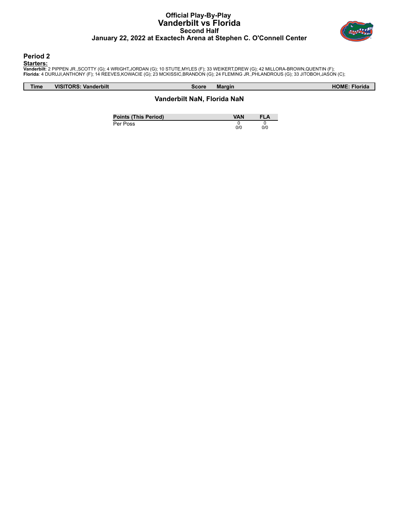# **Official Play-By-Play Vanderbilt vs Florida Second Half January 22, 2022 at Exactech Arena at Stephen C. O'Connell Center**



**Period 2**

<mark>Starters:</mark><br>Vanderbilt: 2 PIPPEN JR.,SCOTTY (G); 4 WRIGHT,JORDAN (G); 10 STUTE,MYLES (F); 33 WEIKERT,DREW (G); 42 MILLORA-BROWN,QUENTIN (F);<br>**Florida**: 4 DURUJI,ANTHONY (F); 14 REEVES,KOWACIE (G); 23 MCKISSIC,BRANDON (G);

| <b>Time</b> | <b>Vanderbilt</b> | Score         | <b>HOME</b>    |
|-------------|-------------------|---------------|----------------|
|             | <b>VISITORS</b>   | <b>Margin</b> | <b>Florida</b> |
|             |                   |               |                |

# **Vanderbilt NaN, Florida NaN**

| <b>Points (This Period)</b> | VAN | FLA |
|-----------------------------|-----|-----|
| Per Poss                    | 0/0 | 0/0 |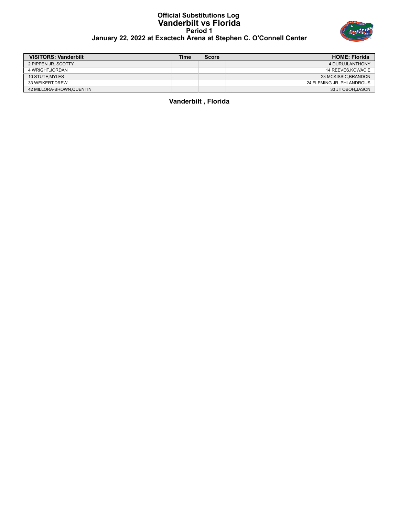#### **Official Substitutions Log Vanderbilt vs Florida Period 1 January 22, 2022 at Exactech Arena at Stephen C. O'Connell Center**



| <b>VISITORS: Vanderbilt</b> | Time | <b>Score</b> | <b>HOME: Florida</b>      |
|-----------------------------|------|--------------|---------------------------|
| 2 PIPPEN JRSCOTTY           |      |              | 4 DURUJI, ANTHONY         |
| 4 WRIGHT.JORDAN             |      |              | 14 REEVES.KOWACIE         |
| 10 STUTE MYLES              |      |              | 23 MCKISSIC.BRANDON       |
| 33 WEIKERT.DREW             |      |              | 24 FLEMING JR.,PHLANDROUS |
| 42 MILLORA-BROWN.QUENTIN    |      |              | 33 JITOBOH.JASON          |

**Vanderbilt , Florida**